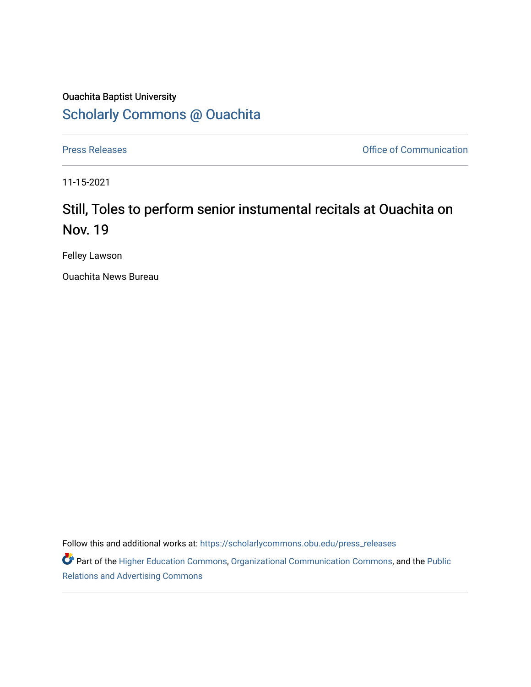## Ouachita Baptist University [Scholarly Commons @ Ouachita](https://scholarlycommons.obu.edu/)

[Press Releases](https://scholarlycommons.obu.edu/press_releases) **Press Releases Communication** 

11-15-2021

## Still, Toles to perform senior instumental recitals at Ouachita on Nov. 19

Felley Lawson

Ouachita News Bureau

Follow this and additional works at: [https://scholarlycommons.obu.edu/press\\_releases](https://scholarlycommons.obu.edu/press_releases?utm_source=scholarlycommons.obu.edu%2Fpress_releases%2F902&utm_medium=PDF&utm_campaign=PDFCoverPages)

Part of the [Higher Education Commons,](http://network.bepress.com/hgg/discipline/1245?utm_source=scholarlycommons.obu.edu%2Fpress_releases%2F902&utm_medium=PDF&utm_campaign=PDFCoverPages) [Organizational Communication Commons,](http://network.bepress.com/hgg/discipline/335?utm_source=scholarlycommons.obu.edu%2Fpress_releases%2F902&utm_medium=PDF&utm_campaign=PDFCoverPages) and the [Public](http://network.bepress.com/hgg/discipline/336?utm_source=scholarlycommons.obu.edu%2Fpress_releases%2F902&utm_medium=PDF&utm_campaign=PDFCoverPages) [Relations and Advertising Commons](http://network.bepress.com/hgg/discipline/336?utm_source=scholarlycommons.obu.edu%2Fpress_releases%2F902&utm_medium=PDF&utm_campaign=PDFCoverPages)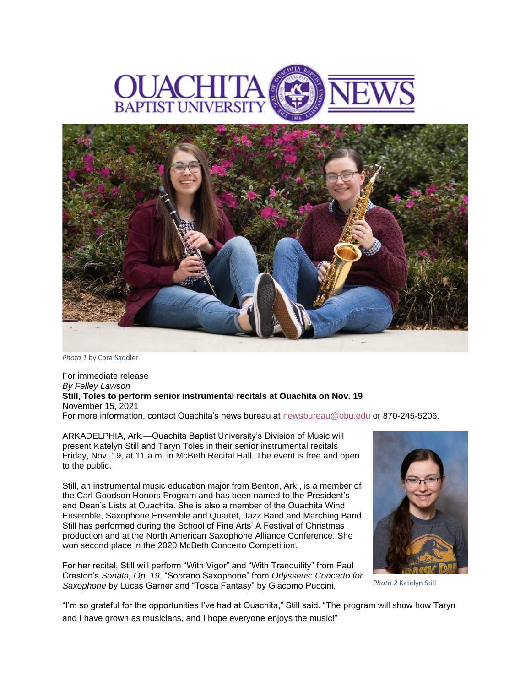



*Photo 1* by Cora Saddler

For immediate release *By Felley Lawson* **Still, Toles to perform senior instrumental recitals at Ouachita on Nov. 19** November 15, 2021 For more information, contact Ouachita's news bureau at [newsbureau@obu.edu](mailto:newsbureau@obu.edu) or 870-245-5206.

ARKADELPHIA, Ark.—Ouachita Baptist University's Division of Music will present Katelyn Still and Taryn Toles in their senior instrumental recitals Friday, Nov. 19, at 11 a.m. in McBeth Recital Hall. The event is free and open to the public.

Still, an instrumental music education major from Benton, Ark., is a member of the Carl Goodson Honors Program and has been named to the President's and Dean's Lists at Ouachita. She is also a member of the Ouachita Wind Ensemble, Saxophone Ensemble and Quartet, Jazz Band and Marching Band. Still has performed during the School of Fine Arts' A Festival of Christmas production and at the North American Saxophone Alliance Conference. She won second place in the 2020 McBeth Concerto Competition.

For her recital, Still will perform "With Vigor" and "With Tranquility" from Paul Creston's *Sonata, Op. 19*, "Soprano Saxophone" from *Odysseus: Concerto for Saxophone* by Lucas Garner and "Tosca Fantasy" by Giacomo Puccini.



*Photo 2* Katelyn Still

"I'm so grateful for the opportunities I've had at Ouachita," Still said. "The program will show how Taryn and I have grown as musicians, and I hope everyone enjoys the music!"